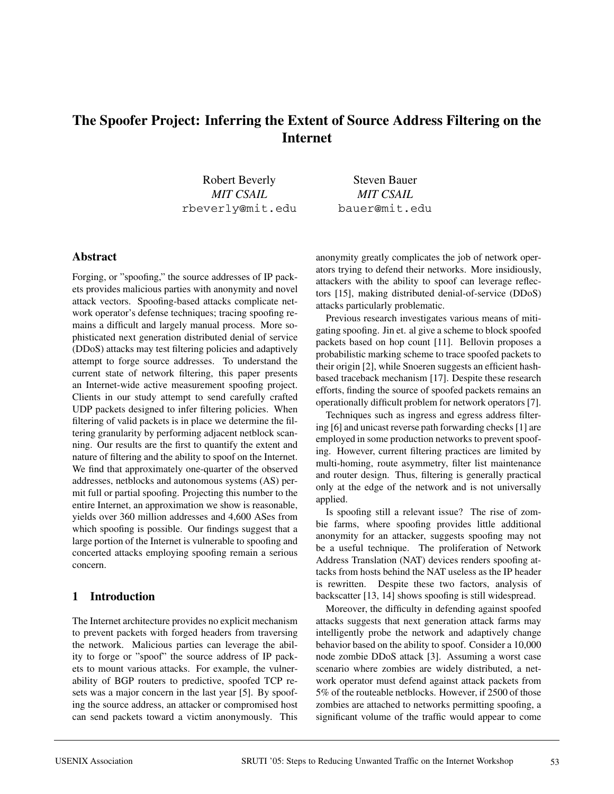# **The Spoofer Project: Inferring the Extent of Source Address Filtering on the Internet**

Robert Beverly *MIT CSAIL* rbeverly@mit.edu

Steven Bauer *MIT CSAIL* bauer@mit.edu

### **Abstract**

Forging, or "spoofing," the source addresses of IP packets provides malicious parties with anonymity and novel attack vectors. Spoofing-based attacks complicate network operator's defense techniques; tracing spoofing remains a difficult and largely manual process. More sophisticated next generation distributed denial of service (DDoS) attacks may test filtering policies and adaptively attempt to forge source addresses. To understand the current state of network filtering, this paper presents an Internet-wide active measurement spoofing project. Clients in our study attempt to send carefully crafted UDP packets designed to infer filtering policies. When filtering of valid packets is in place we determine the filtering granularity by performing adjacent netblock scanning. Our results are the first to quantify the extent and nature of filtering and the ability to spoof on the Internet. We find that approximately one-quarter of the observed addresses, netblocks and autonomous systems (AS) permit full or partial spoofing. Projecting this number to the entire Internet, an approximation we show is reasonable, yields over 360 million addresses and 4,600 ASes from which spoofing is possible. Our findings suggest that a large portion of the Internet is vulnerable to spoofing and concerted attacks employing spoofing remain a serious concern.

## **1 Introduction**

The Internet architecture provides no explicit mechanism to prevent packets with forged headers from traversing the network. Malicious parties can leverage the ability to forge or "spoof" the source address of IP packets to mount various attacks. For example, the vulnerability of BGP routers to predictive, spoofed TCP resets was a major concern in the last year [5]. By spoofing the source address, an attacker or compromised host can send packets toward a victim anonymously. This anonymity greatly complicates the job of network operators trying to defend their networks. More insidiously, attackers with the ability to spoof can leverage reflectors [15], making distributed denial-of-service (DDoS) attacks particularly problematic.

Previous research investigates various means of mitigating spoofing. Jin et. al give a scheme to block spoofed packets based on hop count [11]. Bellovin proposes a probabilistic marking scheme to trace spoofed packets to their origin [2], while Snoeren suggests an efficient hashbased traceback mechanism [17]. Despite these research efforts, finding the source of spoofed packets remains an operationally difficult problem for network operators [7].

Techniques such as ingress and egress address filtering [6] and unicast reverse path forwarding checks [1] are employed in some production networks to prevent spoofing. However, current filtering practices are limited by multi-homing, route asymmetry, filter list maintenance and router design. Thus, filtering is generally practical only at the edge of the network and is not universally applied.

Is spoofing still a relevant issue? The rise of zombie farms, where spoofing provides little additional anonymity for an attacker, suggests spoofing may not be a useful technique. The proliferation of Network Address Translation (NAT) devices renders spoofing attacks from hosts behind the NAT useless as the IP header is rewritten. Despite these two factors, analysis of backscatter [13, 14] shows spoofing is still widespread.

Moreover, the difficulty in defending against spoofed attacks suggests that next generation attack farms may intelligently probe the network and adaptively change behavior based on the ability to spoof. Consider a 10,000 node zombie DDoS attack [3]. Assuming a worst case scenario where zombies are widely distributed, a network operator must defend against attack packets from 5% of the routeable netblocks. However, if 2500 of those zombies are attached to networks permitting spoofing, a significant volume of the traffic would appear to come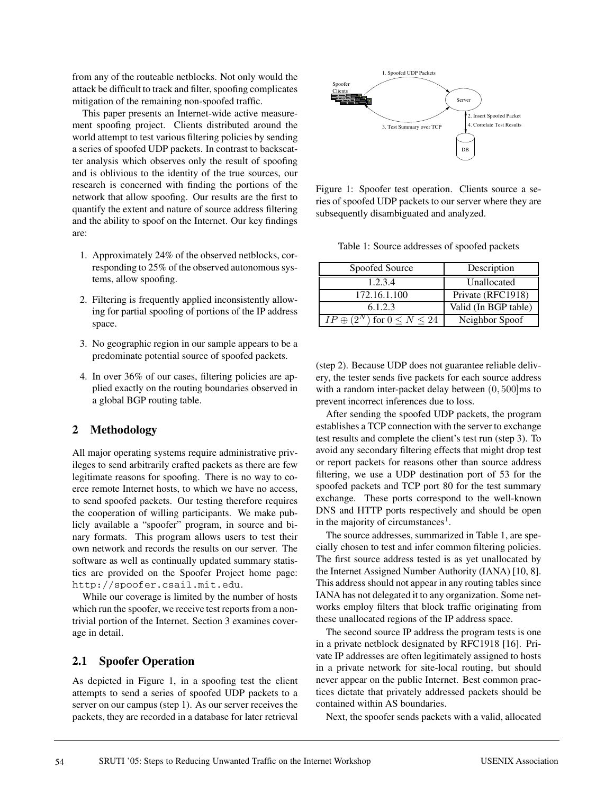from any of the routeable netblocks. Not only would the attack be difficult to track and filter, spoofing complicates mitigation of the remaining non-spoofed traffic.

This paper presents an Internet-wide active measurement spoofing project. Clients distributed around the world attempt to test various filtering policies by sending a series of spoofed UDP packets. In contrast to backscatter analysis which observes only the result of spoofing and is oblivious to the identity of the true sources, our research is concerned with finding the portions of the network that allow spoofing. Our results are the first to quantify the extent and nature of source address filtering and the ability to spoof on the Internet. Our key findings are:

- 1. Approximately 24% of the observed netblocks, corresponding to 25% of the observed autonomous systems, allow spoofing.
- 2. Filtering is frequently applied inconsistently allowing for partial spoofing of portions of the IP address space.
- 3. No geographic region in our sample appears to be a predominate potential source of spoofed packets.
- 4. In over 36% of our cases, filtering policies are applied exactly on the routing boundaries observed in a global BGP routing table.

## **2 Methodology**

All major operating systems require administrative privileges to send arbitrarily crafted packets as there are few legitimate reasons for spoofing. There is no way to coerce remote Internet hosts, to which we have no access, to send spoofed packets. Our testing therefore requires the cooperation of willing participants. We make publicly available a "spoofer" program, in source and binary formats. This program allows users to test their own network and records the results on our server. The software as well as continually updated summary statistics are provided on the Spoofer Project home page: http://spoofer.csail.mit.edu.

While our coverage is limited by the number of hosts which run the spoofer, we receive test reports from a nontrivial portion of the Internet. Section 3 examines coverage in detail.

## **2.1 Spoofer Operation**

As depicted in Figure 1, in a spoofing test the client attempts to send a series of spoofed UDP packets to a server on our campus (step 1). As our server receives the packets, they are recorded in a database for later retrieval



Figure 1: Spoofer test operation. Clients source a series of spoofed UDP packets to our server where they are subsequently disambiguated and analyzed.

Table 1: Source addresses of spoofed packets

| Spoofed Source                           | Description          |
|------------------------------------------|----------------------|
| 1.2.3.4                                  | Unallocated          |
| 172.16.1.100                             | Private (RFC1918)    |
| 6.1.2.3                                  | Valid (In BGP table) |
| $IP \oplus (2^N)$ for $0 \leq N \leq 24$ | Neighbor Spoof       |

(step 2). Because UDP does not guarantee reliable delivery, the tester sends five packets for each source address with a random inter-packet delay between  $(0, 500)$ ms to prevent incorrect inferences due to loss.

After sending the spoofed UDP packets, the program establishes a TCP connection with the server to exchange test results and complete the client's test run (step 3). To avoid any secondary filtering effects that might drop test or report packets for reasons other than source address filtering, we use a UDP destination port of 53 for the spoofed packets and TCP port 80 for the test summary exchange. These ports correspond to the well-known DNS and HTTP ports respectively and should be open in the majority of circumstances<sup>1</sup>.

The source addresses, summarized in Table 1, are specially chosen to test and infer common filtering policies. The first source address tested is as yet unallocated by the Internet Assigned Number Authority (IANA) [10, 8]. This address should not appear in any routing tables since IANA has not delegated it to any organization. Some networks employ filters that block traffic originating from these unallocated regions of the IP address space.

The second source IP address the program tests is one in a private netblock designated by RFC1918 [16]. Private IP addresses are often legitimately assigned to hosts in a private network for site-local routing, but should never appear on the public Internet. Best common practices dictate that privately addressed packets should be contained within AS boundaries.

Next, the spoofer sends packets with a valid, allocated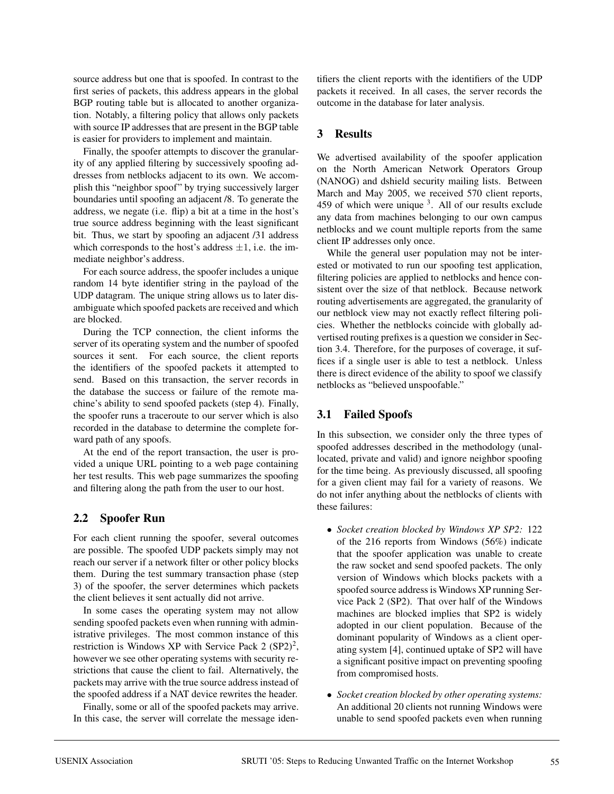source address but one that is spoofed. In contrast to the first series of packets, this address appears in the global BGP routing table but is allocated to another organization. Notably, a filtering policy that allows only packets with source IP addresses that are present in the BGP table is easier for providers to implement and maintain.

Finally, the spoofer attempts to discover the granularity of any applied filtering by successively spoofing addresses from netblocks adjacent to its own. We accomplish this "neighbor spoof" by trying successively larger boundaries until spoofing an adjacent /8. To generate the address, we negate (i.e. flip) a bit at a time in the host's true source address beginning with the least significant bit. Thus, we start by spoofing an adjacent /31 address which corresponds to the host's address  $\pm 1$ , i.e. the immediate neighbor's address.

For each source address, the spoofer includes a unique random 14 byte identifier string in the payload of the UDP datagram. The unique string allows us to later disambiguate which spoofed packets are received and which are blocked.

During the TCP connection, the client informs the server of its operating system and the number of spoofed sources it sent. For each source, the client reports the identifiers of the spoofed packets it attempted to send. Based on this transaction, the server records in the database the success or failure of the remote machine's ability to send spoofed packets (step 4). Finally, the spoofer runs a traceroute to our server which is also recorded in the database to determine the complete forward path of any spoofs.

At the end of the report transaction, the user is provided a unique URL pointing to a web page containing her test results. This web page summarizes the spoofing and filtering along the path from the user to our host.

## **2.2 Spoofer Run**

For each client running the spoofer, several outcomes are possible. The spoofed UDP packets simply may not reach our server if a network filter or other policy blocks them. During the test summary transaction phase (step 3) of the spoofer, the server determines which packets the client believes it sent actually did not arrive.

In some cases the operating system may not allow sending spoofed packets even when running with administrative privileges. The most common instance of this restriction is Windows XP with Service Pack 2  $(SP2)^2$ , however we see other operating systems with security restrictions that cause the client to fail. Alternatively, the packets may arrive with the true source address instead of the spoofed address if a NAT device rewrites the header.

Finally, some or all of the spoofed packets may arrive. In this case, the server will correlate the message identifiers the client reports with the identifiers of the UDP packets it received. In all cases, the server records the outcome in the database for later analysis.

## **3 Results**

We advertised availability of the spoofer application on the North American Network Operators Group (NANOG) and dshield security mailing lists. Between March and May 2005, we received 570 client reports, 459 of which were unique 3. All of our results exclude any data from machines belonging to our own campus netblocks and we count multiple reports from the same client IP addresses only once.

While the general user population may not be interested or motivated to run our spoofing test application, filtering policies are applied to netblocks and hence consistent over the size of that netblock. Because network routing advertisements are aggregated, the granularity of our netblock view may not exactly reflect filtering policies. Whether the netblocks coincide with globally advertised routing prefixes is a question we consider in Section 3.4. Therefore, for the purposes of coverage, it suffices if a single user is able to test a netblock. Unless there is direct evidence of the ability to spoof we classify netblocks as "believed unspoofable."

## **3.1 Failed Spoofs**

In this subsection, we consider only the three types of spoofed addresses described in the methodology (unallocated, private and valid) and ignore neighbor spoofing for the time being. As previously discussed, all spoofing for a given client may fail for a variety of reasons. We do not infer anything about the netblocks of clients with these failures:

- *Socket creation blocked by Windows XP SP2:* 122 of the 216 reports from Windows (56%) indicate that the spoofer application was unable to create the raw socket and send spoofed packets. The only version of Windows which blocks packets with a spoofed source address is Windows XP running Service Pack 2 (SP2). That over half of the Windows machines are blocked implies that SP2 is widely adopted in our client population. Because of the dominant popularity of Windows as a client operating system [4], continued uptake of SP2 will have a significant positive impact on preventing spoofing from compromised hosts.
- *Socket creation blocked by other operating systems:* An additional 20 clients not running Windows were unable to send spoofed packets even when running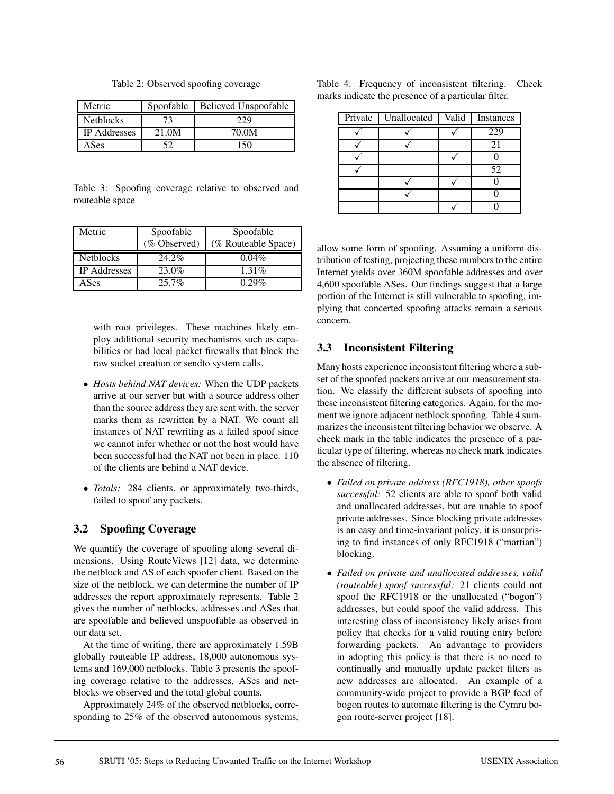Table 2: Observed spoofing coverage

| Metric              | Spoofable | <b>Believed Unspoofable</b> |
|---------------------|-----------|-----------------------------|
| <b>Netblocks</b>    |           | .29                         |
| <b>IP</b> Addresses | 21.0M     | 70.0M                       |
| ASes                |           | 150                         |

Table 3: Spoofing coverage relative to observed and routeable space

| Metric              | Spoofable    | Spoofable           |  |
|---------------------|--------------|---------------------|--|
|                     | (% Observed) | (% Routeable Space) |  |
| <b>Netblocks</b>    | 24.2%        | $0.04\%$            |  |
| <b>IP</b> Addresses | 23.0%        | $1.31\%$            |  |
| ASes                | $25.7\%$     | 0.29%               |  |

with root privileges. These machines likely employ additional security mechanisms such as capabilities or had local packet firewalls that block the raw socket creation or sendto system calls.

- *Hosts behind NAT devices:* When the UDP packets arrive at our server but with a source address other than the source address they are sent with, the server marks them as rewritten by a NAT. We count all instances of NAT rewriting as a failed spoof since we cannot infer whether or not the host would have been successful had the NAT not been in place. 110 of the clients are behind a NAT device.
- *Totals:* 284 clients, or approximately two-thirds, failed to spoof any packets.

## **3.2 Spoofing Coverage**

We quantify the coverage of spoofing along several dimensions. Using RouteViews [12] data, we determine the netblock and AS of each spoofer client. Based on the size of the netblock, we can determine the number of IP addresses the report approximately represents. Table 2 gives the number of netblocks, addresses and ASes that are spoofable and believed unspoofable as observed in our data set.

At the time of writing, there are approximately 1.59B globally routeable IP address, 18,000 autonomous systems and 169,000 netblocks. Table 3 presents the spoofing coverage relative to the addresses, ASes and netblocks we observed and the total global counts.

Approximately 24% of the observed netblocks, corresponding to 25% of the observed autonomous systems,

|  |  | Table 4: Frequency of inconsistent filtering. Check |  |
|--|--|-----------------------------------------------------|--|
|  |  | marks indicate the presence of a particular filter. |  |

| Private | Unallocated | Valid | Instances |
|---------|-------------|-------|-----------|
|         |             |       | 229       |
|         |             |       | 21        |
|         |             |       |           |
|         |             |       | 52        |
|         |             |       |           |
|         |             |       |           |
|         |             |       |           |

allow some form of spoofing. Assuming a uniform distribution of testing, projecting these numbers to the entire Internet yields over 360M spoofable addresses and over 4,600 spoofable ASes. Our findings suggest that a large portion of the Internet is still vulnerable to spoofing, implying that concerted spoofing attacks remain a serious concern.

## **3.3 Inconsistent Filtering**

Many hosts experience inconsistent filtering where a subset of the spoofed packets arrive at our measurement station. We classify the different subsets of spoofing into these inconsistent filtering categories. Again, for the moment we ignore adjacent netblock spoofing. Table 4 summarizes the inconsistent filtering behavior we observe. A check mark in the table indicates the presence of a particular type of filtering, whereas no check mark indicates the absence of filtering.

- *Failed on private address (RFC1918), other spoofs successful:* 52 clients are able to spoof both valid and unallocated addresses, but are unable to spoof private addresses. Since blocking private addresses is an easy and time-invariant policy, it is unsurprising to find instances of only RFC1918 ("martian") blocking.
- *Failed on private and unallocated addresses, valid (routeable) spoof successful:* 21 clients could not spoof the RFC1918 or the unallocated ("bogon") addresses, but could spoof the valid address. This interesting class of inconsistency likely arises from policy that checks for a valid routing entry before forwarding packets. An advantage to providers in adopting this policy is that there is no need to continually and manually update packet filters as new addresses are allocated. An example of a community-wide project to provide a BGP feed of bogon routes to automate filtering is the Cymru bogon route-server project [18].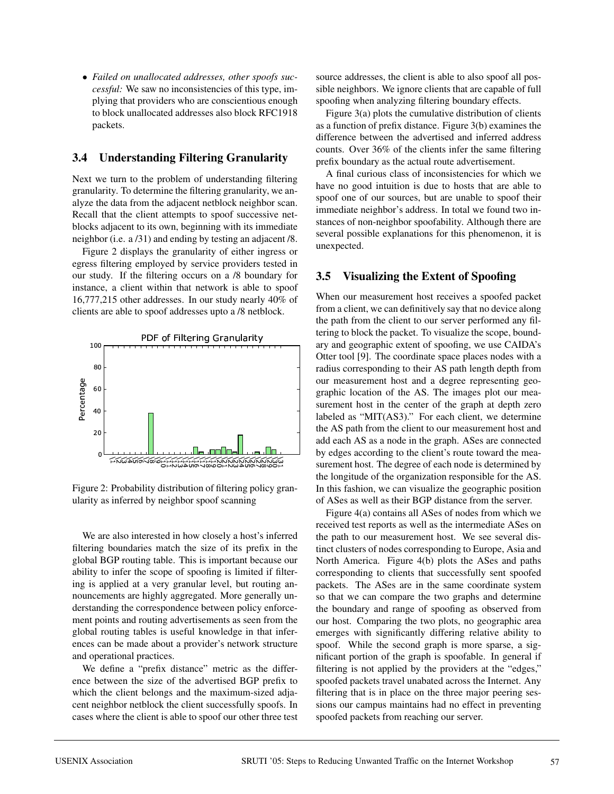• *Failed on unallocated addresses, other spoofs successful:* We saw no inconsistencies of this type, implying that providers who are conscientious enough to block unallocated addresses also block RFC1918 packets.

## **3.4 Understanding Filtering Granularity**

Next we turn to the problem of understanding filtering granularity. To determine the filtering granularity, we analyze the data from the adjacent netblock neighbor scan. Recall that the client attempts to spoof successive netblocks adjacent to its own, beginning with its immediate neighbor (i.e. a /31) and ending by testing an adjacent /8.

Figure 2 displays the granularity of either ingress or egress filtering employed by service providers tested in our study. If the filtering occurs on a /8 boundary for instance, a client within that network is able to spoof 16,777,215 other addresses. In our study nearly 40% of clients are able to spoof addresses upto a /8 netblock.



Figure 2: Probability distribution of filtering policy granularity as inferred by neighbor spoof scanning

We are also interested in how closely a host's inferred filtering boundaries match the size of its prefix in the global BGP routing table. This is important because our ability to infer the scope of spoofing is limited if filtering is applied at a very granular level, but routing announcements are highly aggregated. More generally understanding the correspondence between policy enforcement points and routing advertisements as seen from the global routing tables is useful knowledge in that inferences can be made about a provider's network structure and operational practices.

We define a "prefix distance" metric as the difference between the size of the advertised BGP prefix to which the client belongs and the maximum-sized adjacent neighbor netblock the client successfully spoofs. In cases where the client is able to spoof our other three test source addresses, the client is able to also spoof all possible neighbors. We ignore clients that are capable of full spoofing when analyzing filtering boundary effects.

Figure 3(a) plots the cumulative distribution of clients as a function of prefix distance. Figure 3(b) examines the difference between the advertised and inferred address counts. Over 36% of the clients infer the same filtering prefix boundary as the actual route advertisement.

A final curious class of inconsistencies for which we have no good intuition is due to hosts that are able to spoof one of our sources, but are unable to spoof their immediate neighbor's address. In total we found two instances of non-neighbor spoofability. Although there are several possible explanations for this phenomenon, it is unexpected.

## **3.5 Visualizing the Extent of Spoofing**

 $\mathbb{S}^2$  surement host. The degree of each node is determined by When our measurement host receives a spoofed packet from a client, we can definitively say that no device along the path from the client to our server performed any filtering to block the packet. To visualize the scope, boundary and geographic extent of spoofing, we use CAIDA's Otter tool [9]. The coordinate space places nodes with a radius corresponding to their AS path length depth from our measurement host and a degree representing geographic location of the AS. The images plot our measurement host in the center of the graph at depth zero labeled as "MIT(AS3)." For each client, we determine the AS path from the client to our measurement host and add each AS as a node in the graph. ASes are connected by edges according to the client's route toward the meathe longitude of the organization responsible for the AS. In this fashion, we can visualize the geographic position of ASes as well as their BGP distance from the server.

> Figure 4(a) contains all ASes of nodes from which we received test reports as well as the intermediate ASes on the path to our measurement host. We see several distinct clusters of nodes corresponding to Europe, Asia and North America. Figure 4(b) plots the ASes and paths corresponding to clients that successfully sent spoofed packets. The ASes are in the same coordinate system so that we can compare the two graphs and determine the boundary and range of spoofing as observed from our host. Comparing the two plots, no geographic area emerges with significantly differing relative ability to spoof. While the second graph is more sparse, a significant portion of the graph is spoofable. In general if filtering is not applied by the providers at the "edges," spoofed packets travel unabated across the Internet. Any filtering that is in place on the three major peering sessions our campus maintains had no effect in preventing spoofed packets from reaching our server.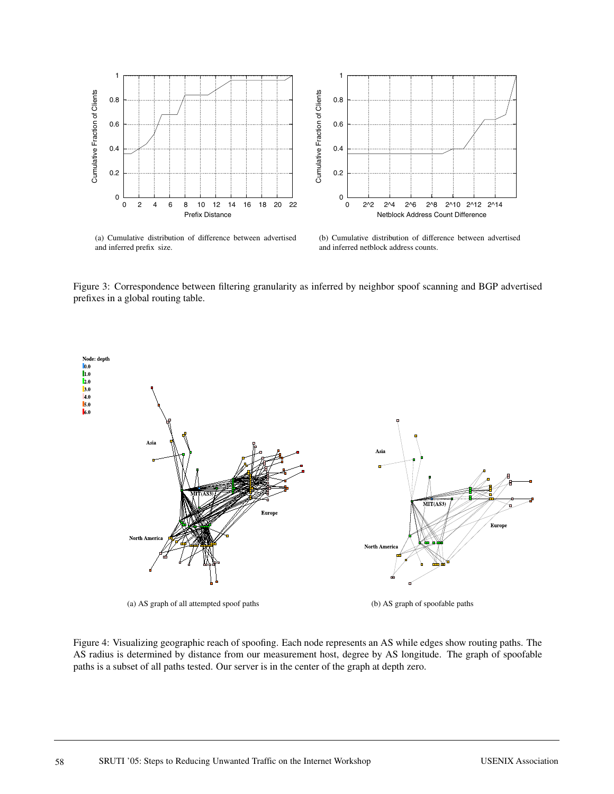

(a) Cumulative distribution of difference between advertised and inferred prefix size.

(b) Cumulative distribution of difference between advertised and inferred netblock address counts.

Figure 3: Correspondence between filtering granularity as inferred by neighbor spoof scanning and BGP advertised prefixes in a global routing table.



(a) AS graph of all attempted spoof paths (b) AS graph of spoofable paths

Figure 4: Visualizing geographic reach of spoofing. Each node represents an AS while edges show routing paths. The AS radius is determined by distance from our measurement host, degree by AS longitude. The graph of spoofable paths is a subset of all paths tested. Our server is in the center of the graph at depth zero.